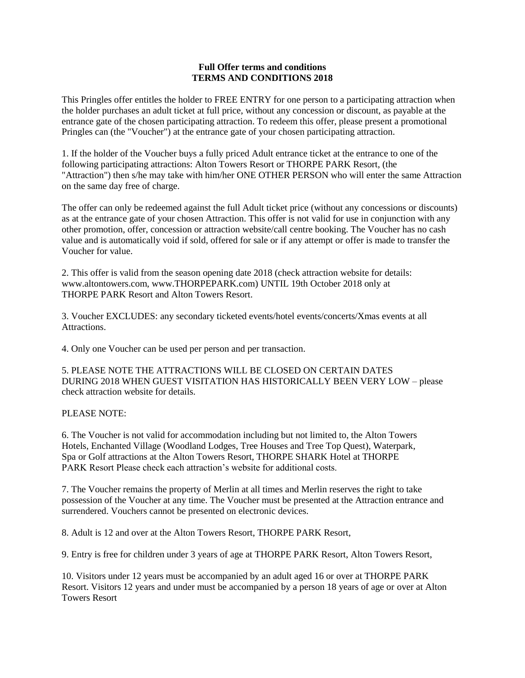## **Full Offer terms and conditions TERMS AND CONDITIONS 2018**

This Pringles offer entitles the holder to FREE ENTRY for one person to a participating attraction when the holder purchases an adult ticket at full price, without any concession or discount, as payable at the entrance gate of the chosen participating attraction. To redeem this offer, please present a promotional Pringles can (the "Voucher") at the entrance gate of your chosen participating attraction.

1. If the holder of the Voucher buys a fully priced Adult entrance ticket at the entrance to one of the following participating attractions: Alton Towers Resort or THORPE PARK Resort, (the "Attraction") then s/he may take with him/her ONE OTHER PERSON who will enter the same Attraction on the same day free of charge.

The offer can only be redeemed against the full Adult ticket price (without any concessions or discounts) as at the entrance gate of your chosen Attraction. This offer is not valid for use in conjunction with any other promotion, offer, concession or attraction website/call centre booking. The Voucher has no cash value and is automatically void if sold, offered for sale or if any attempt or offer is made to transfer the Voucher for value.

2. This offer is valid from the season opening date 2018 (check attraction website for details: www.altontowers.com, www.THORPEPARK.com) UNTIL 19th October 2018 only at THORPE PARK Resort and Alton Towers Resort.

3. Voucher EXCLUDES: any secondary ticketed events/hotel events/concerts/Xmas events at all Attractions.

4. Only one Voucher can be used per person and per transaction.

5. PLEASE NOTE THE ATTRACTIONS WILL BE CLOSED ON CERTAIN DATES DURING 2018 WHEN GUEST VISITATION HAS HISTORICALLY BEEN VERY LOW – please check attraction website for details.

## PLEASE NOTE:

6. The Voucher is not valid for accommodation including but not limited to, the Alton Towers Hotels, Enchanted Village (Woodland Lodges, Tree Houses and Tree Top Quest), Waterpark, Spa or Golf attractions at the Alton Towers Resort, THORPE SHARK Hotel at THORPE PARK Resort Please check each attraction's website for additional costs.

7. The Voucher remains the property of Merlin at all times and Merlin reserves the right to take possession of the Voucher at any time. The Voucher must be presented at the Attraction entrance and surrendered. Vouchers cannot be presented on electronic devices.

8. Adult is 12 and over at the Alton Towers Resort, THORPE PARK Resort,

9. Entry is free for children under 3 years of age at THORPE PARK Resort, Alton Towers Resort,

10. Visitors under 12 years must be accompanied by an adult aged 16 or over at THORPE PARK Resort. Visitors 12 years and under must be accompanied by a person 18 years of age or over at Alton Towers Resort